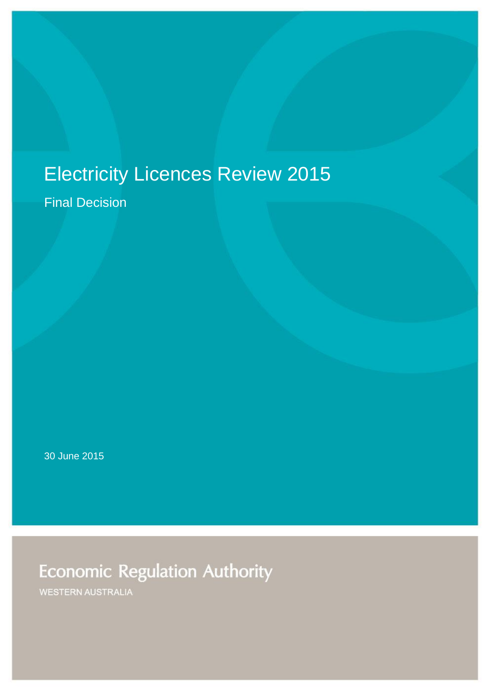# Electricity Licences Review 2015

Final Decision

30 June 2015

**Economic Regulation Authority** 

WESTERN AUSTRALIA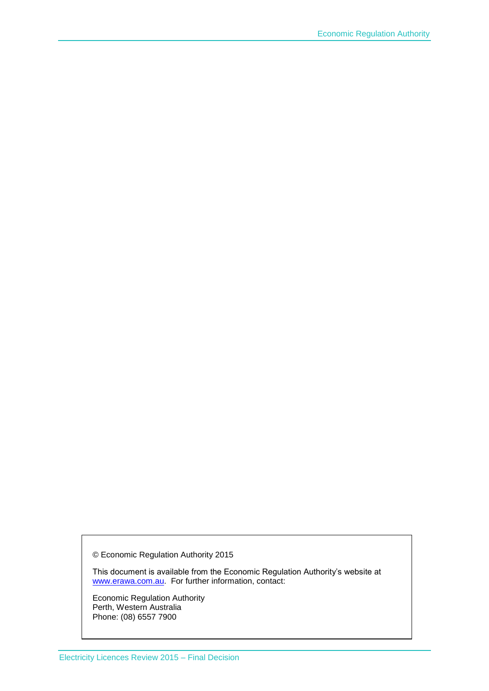© Economic Regulation Authority 2015

This document is available from the Economic Regulation Authority's website at [www.erawa.com.au.](http://www.erawa.com.au/) For further information, contact:

Economic Regulation Authority Perth, Western Australia Phone: (08) 6557 7900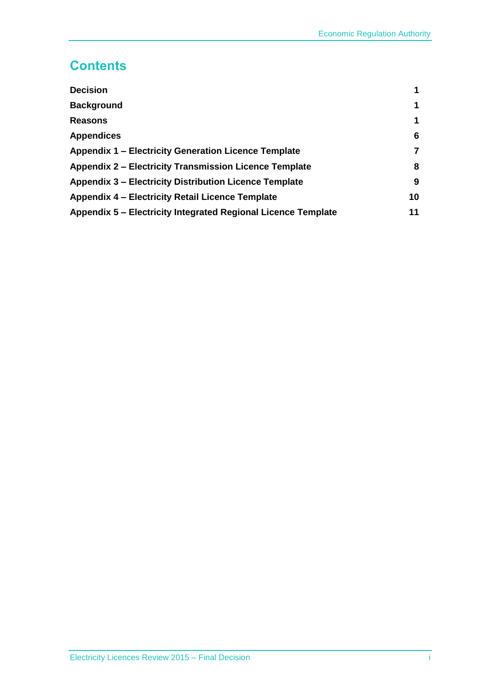### **Contents**

| <b>Decision</b>                                               | 1  |
|---------------------------------------------------------------|----|
| <b>Background</b>                                             | 1  |
| <b>Reasons</b>                                                | 1  |
| <b>Appendices</b>                                             | 6  |
| Appendix 1 - Electricity Generation Licence Template          | 7  |
| <b>Appendix 2 – Electricity Transmission Licence Template</b> | 8  |
| <b>Appendix 3 – Electricity Distribution Licence Template</b> | 9  |
| Appendix 4 – Electricity Retail Licence Template              | 10 |
| Appendix 5 – Electricity Integrated Regional Licence Template | 11 |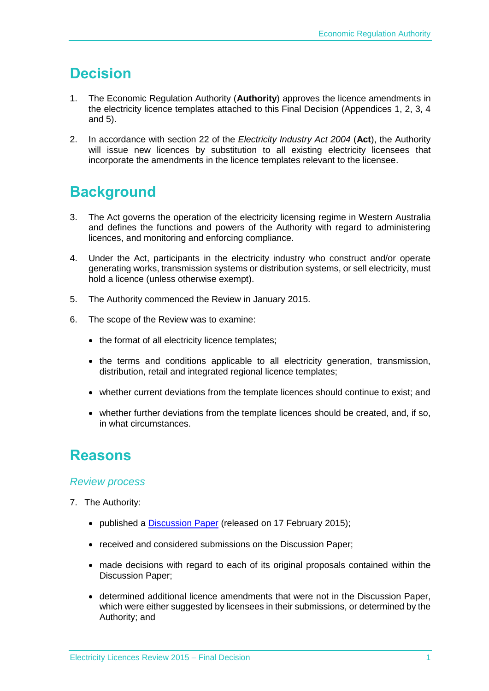### <span id="page-3-0"></span>**Decision**

- 1. The Economic Regulation Authority (**Authority**) approves the licence amendments in the electricity licence templates attached to this Final Decision (Appendices 1, 2, 3, 4 and 5).
- 2. In accordance with section 22 of the *Electricity Industry Act 2004* (**Act**), the Authority will issue new licences by substitution to all existing electricity licensees that incorporate the amendments in the licence templates relevant to the licensee.

### <span id="page-3-1"></span>**Background**

- 3. The Act governs the operation of the electricity licensing regime in Western Australia and defines the functions and powers of the Authority with regard to administering licences, and monitoring and enforcing compliance.
- 4. Under the Act, participants in the electricity industry who construct and/or operate generating works, transmission systems or distribution systems, or sell electricity, must hold a licence (unless otherwise exempt).
- 5. The Authority commenced the Review in January 2015.
- 6. The scope of the Review was to examine:
	- the format of all electricity licence templates;
	- the terms and conditions applicable to all electricity generation, transmission, distribution, retail and integrated regional licence templates;
	- whether current deviations from the template licences should continue to exist; and
	- whether further deviations from the template licences should be created, and, if so, in what circumstances.

### <span id="page-3-2"></span>**Reasons**

#### *Review process*

- 7. The Authority:
	- published a [Discussion Paper](https://www.erawa.com.au/cproot/13346/2/Electricity%20Licences%20Review%202015%20-%20Discussion%20Paper.pdf) (released on 17 February 2015);
	- received and considered submissions on the Discussion Paper;
	- made decisions with regard to each of its original proposals contained within the Discussion Paper;
	- determined additional licence amendments that were not in the Discussion Paper, which were either suggested by licensees in their submissions, or determined by the Authority; and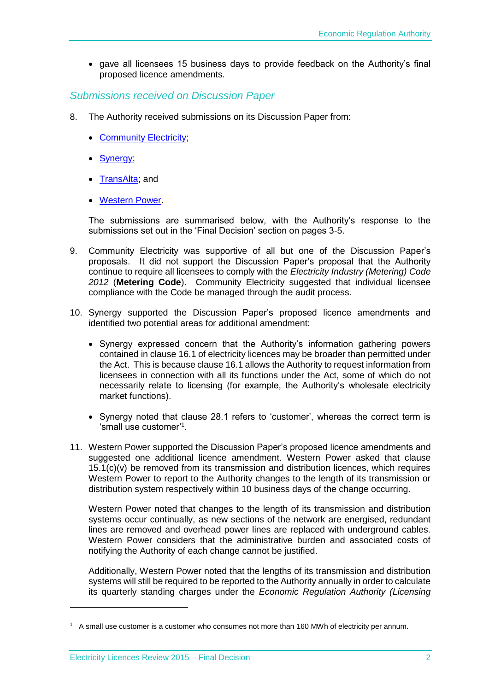gave all licensees 15 business days to provide feedback on the Authority's final proposed licence amendments.

#### *Submissions received on Discussion Paper*

- 8. The Authority received submissions on its Discussion Paper from:
	- Community Electricity:
	- [Synergy;](https://www.erawa.com.au/cproot/13405/2/Public%20Submission%20-%20Synergy%20-%20Electricity%20Licences%20Review%202015%20Discussion%20Paper.PDF)
	- TransAlta: and
	- [Western Power.](https://www.erawa.com.au/cproot/13407/2/Public%20Submission%20-%20Western%20Power%20-%20Electricity%20Licences%20Review%202015%20Discussion%20Paper.PDF)

The submissions are summarised below, with the Authority's response to the submissions set out in the 'Final Decision' section on pages 3-5.

- 9. Community Electricity was supportive of all but one of the Discussion Paper's proposals. It did not support the Discussion Paper's proposal that the Authority continue to require all licensees to comply with the *Electricity Industry (Metering) Code 2012* (**Metering Code**). Community Electricity suggested that individual licensee compliance with the Code be managed through the audit process.
- 10. Synergy supported the Discussion Paper's proposed licence amendments and identified two potential areas for additional amendment:
	- Synergy expressed concern that the Authority's information gathering powers contained in clause 16.1 of electricity licences may be broader than permitted under the Act. This is because clause 16.1 allows the Authority to request information from licensees in connection with all its functions under the Act, some of which do not necessarily relate to licensing (for example, the Authority's wholesale electricity market functions).
	- Synergy noted that clause 28.1 refers to 'customer', whereas the correct term is 'small use customer'<sup>1</sup>.
- 11. Western Power supported the Discussion Paper's proposed licence amendments and suggested one additional licence amendment. Western Power asked that clause 15.1(c)(v) be removed from its transmission and distribution licences, which requires Western Power to report to the Authority changes to the length of its transmission or distribution system respectively within 10 business days of the change occurring.

Western Power noted that changes to the length of its transmission and distribution systems occur continually, as new sections of the network are energised, redundant lines are removed and overhead power lines are replaced with underground cables. Western Power considers that the administrative burden and associated costs of notifying the Authority of each change cannot be justified.

Additionally, Western Power noted that the lengths of its transmission and distribution systems will still be required to be reported to the Authority annually in order to calculate its quarterly standing charges under the *Economic Regulation Authority (Licensing* 

1

 $1$  A small use customer is a customer who consumes not more than 160 MWh of electricity per annum.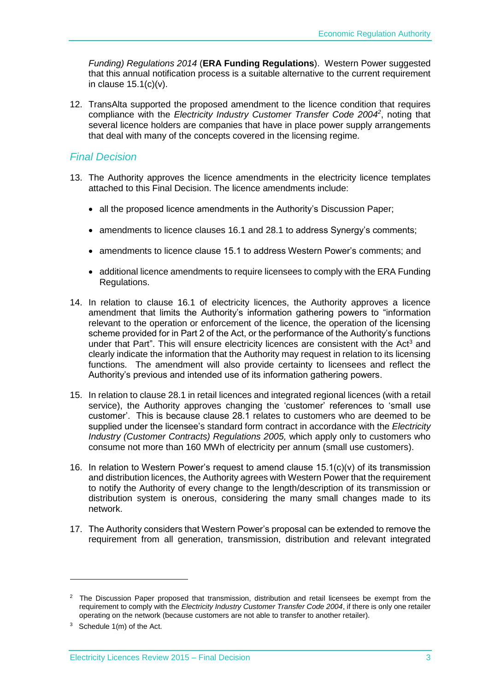*Funding) Regulations 2014* (**ERA Funding Regulations**). Western Power suggested that this annual notification process is a suitable alternative to the current requirement in clause  $15.1(c)(v)$ .

12. TransAlta supported the proposed amendment to the licence condition that requires compliance with the *Electricity Industry Customer Transfer Code 2004*<sup>2</sup>, noting that several licence holders are companies that have in place power supply arrangements that deal with many of the concepts covered in the licensing regime.

#### *Final Decision*

- 13. The Authority approves the licence amendments in the electricity licence templates attached to this Final Decision. The licence amendments include:
	- all the proposed licence amendments in the Authority's Discussion Paper;
	- amendments to licence clauses 16.1 and 28.1 to address Synergy's comments;
	- amendments to licence clause 15.1 to address Western Power's comments; and
	- additional licence amendments to require licensees to comply with the ERA Funding Regulations.
- 14. In relation to clause 16.1 of electricity licences, the Authority approves a licence amendment that limits the Authority's information gathering powers to "information relevant to the operation or enforcement of the licence, the operation of the licensing scheme provided for in Part 2 of the Act, or the performance of the Authority's functions under that Part". This will ensure electricity licences are consistent with the Act<sup>3</sup> and clearly indicate the information that the Authority may request in relation to its licensing functions. The amendment will also provide certainty to licensees and reflect the Authority's previous and intended use of its information gathering powers.
- 15. In relation to clause 28.1 in retail licences and integrated regional licences (with a retail service), the Authority approves changing the 'customer' references to 'small use customer'. This is because clause 28.1 relates to customers who are deemed to be supplied under the licensee's standard form contract in accordance with the *Electricity Industry (Customer Contracts) Regulations 2005,* which apply only to customers who consume not more than 160 MWh of electricity per annum (small use customers).
- 16. In relation to Western Power's request to amend clause  $15.1(c)(v)$  of its transmission and distribution licences, the Authority agrees with Western Power that the requirement to notify the Authority of every change to the length/description of its transmission or distribution system is onerous, considering the many small changes made to its network.
- 17. The Authority considers that Western Power's proposal can be extended to remove the requirement from all generation, transmission, distribution and relevant integrated

1

<sup>&</sup>lt;sup>2</sup> The Discussion Paper proposed that transmission, distribution and retail licensees be exempt from the requirement to comply with the *Electricity Industry Customer Transfer Code 2004*, if there is only one retailer operating on the network (because customers are not able to transfer to another retailer).

 $3$  Schedule 1(m) of the Act.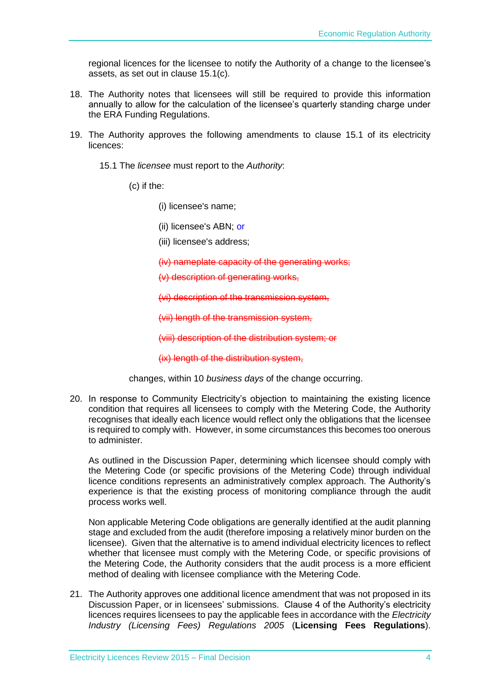regional licences for the licensee to notify the Authority of a change to the licensee's assets, as set out in clause 15.1(c).

- 18. The Authority notes that licensees will still be required to provide this information annually to allow for the calculation of the licensee's quarterly standing charge under the ERA Funding Regulations.
- 19. The Authority approves the following amendments to clause 15.1 of its electricity licences:

15.1 The *licensee* must report to the *Authority*:

(c) if the:

- (i) licensee's name;
- (ii) licensee's ABN; or
- (iii) licensee's address;

(iv) nameplate capacity of the generating works;

(v) description of generating works,

(vi) description of the transmission system,

(vii) length of the transmission system,

(viii) description of the distribution system; or

(ix) length of the distribution system,

changes, within 10 *business days* of the change occurring.

20. In response to Community Electricity's objection to maintaining the existing licence condition that requires all licensees to comply with the Metering Code, the Authority recognises that ideally each licence would reflect only the obligations that the licensee is required to comply with. However, in some circumstances this becomes too onerous to administer.

As outlined in the Discussion Paper, determining which licensee should comply with the Metering Code (or specific provisions of the Metering Code) through individual licence conditions represents an administratively complex approach. The Authority's experience is that the existing process of monitoring compliance through the audit process works well.

Non applicable Metering Code obligations are generally identified at the audit planning stage and excluded from the audit (therefore imposing a relatively minor burden on the licensee). Given that the alternative is to amend individual electricity licences to reflect whether that licensee must comply with the Metering Code, or specific provisions of the Metering Code, the Authority considers that the audit process is a more efficient method of dealing with licensee compliance with the Metering Code.

21. The Authority approves one additional licence amendment that was not proposed in its Discussion Paper, or in licensees' submissions. Clause 4 of the Authority's electricity licences requires licensees to pay the applicable fees in accordance with the *Electricity Industry (Licensing Fees) Regulations 2005* (**Licensing Fees Regulations**).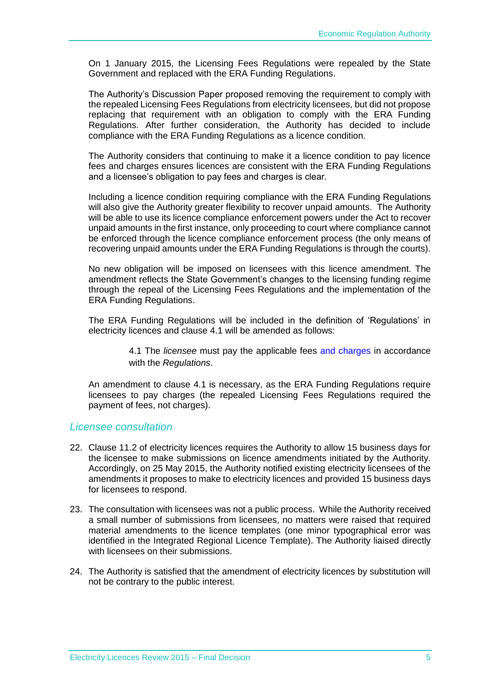On 1 January 2015, the Licensing Fees Regulations were repealed by the State Government and replaced with the ERA Funding Regulations.

The Authority's Discussion Paper proposed removing the requirement to comply with the repealed Licensing Fees Regulations from electricity licensees, but did not propose replacing that requirement with an obligation to comply with the ERA Funding Regulations. After further consideration, the Authority has decided to include compliance with the ERA Funding Regulations as a licence condition.

The Authority considers that continuing to make it a licence condition to pay licence fees and charges ensures licences are consistent with the ERA Funding Regulations and a licensee's obligation to pay fees and charges is clear.

Including a licence condition requiring compliance with the ERA Funding Regulations will also give the Authority greater flexibility to recover unpaid amounts. The Authority will be able to use its licence compliance enforcement powers under the Act to recover unpaid amounts in the first instance, only proceeding to court where compliance cannot be enforced through the licence compliance enforcement process (the only means of recovering unpaid amounts under the ERA Funding Regulations is through the courts).

No new obligation will be imposed on licensees with this licence amendment. The amendment reflects the State Government's changes to the licensing funding regime through the repeal of the Licensing Fees Regulations and the implementation of the ERA Funding Regulations.

The ERA Funding Regulations will be included in the definition of 'Regulations' in electricity licences and clause 4.1 will be amended as follows:

> 4.1 The *licensee* must pay the applicable fees and charges in accordance with the *Regulations*.

An amendment to clause 4.1 is necessary, as the ERA Funding Regulations require licensees to pay charges (the repealed Licensing Fees Regulations required the payment of fees, not charges).

#### *Licensee consultation*

- 22. Clause 11.2 of electricity licences requires the Authority to allow 15 business days for the licensee to make submissions on licence amendments initiated by the Authority. Accordingly, on 25 May 2015, the Authority notified existing electricity licensees of the amendments it proposes to make to electricity licences and provided 15 business days for licensees to respond.
- 23. The consultation with licensees was not a public process. While the Authority received a small number of submissions from licensees, no matters were raised that required material amendments to the licence templates (one minor typographical error was identified in the Integrated Regional Licence Template). The Authority liaised directly with licensees on their submissions.
- 24. The Authority is satisfied that the amendment of electricity licences by substitution will not be contrary to the public interest.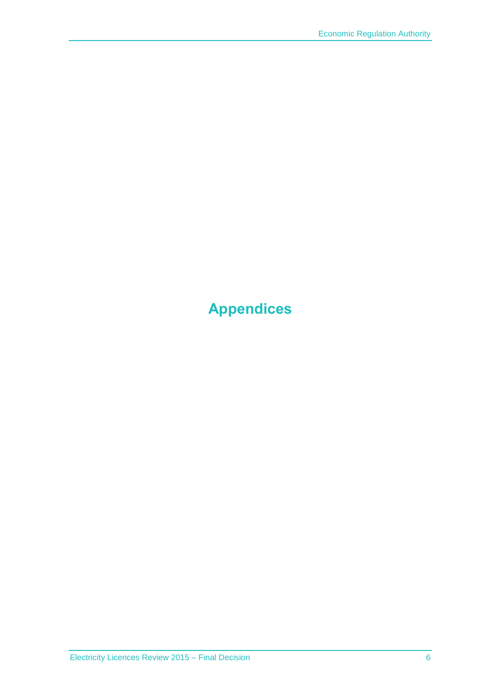# <span id="page-8-0"></span>**Appendices**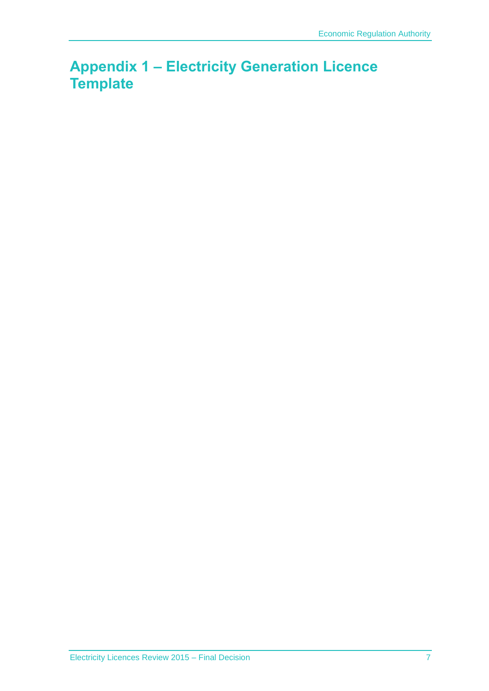### <span id="page-9-0"></span>**Appendix 1 – Electricity Generation Licence Template**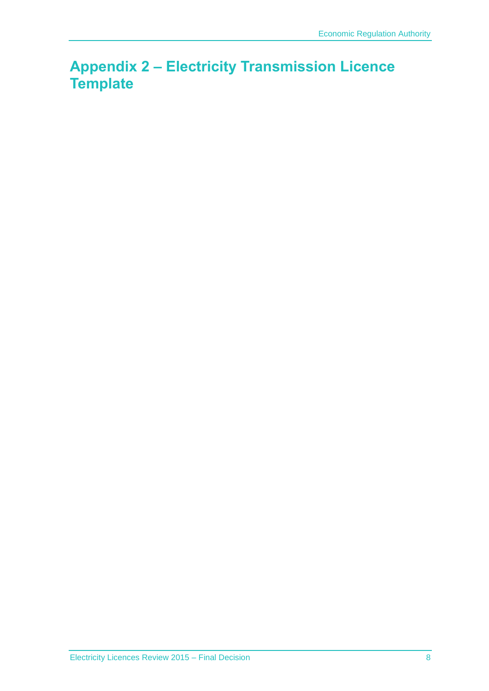### <span id="page-10-0"></span>**Appendix 2 – Electricity Transmission Licence Template**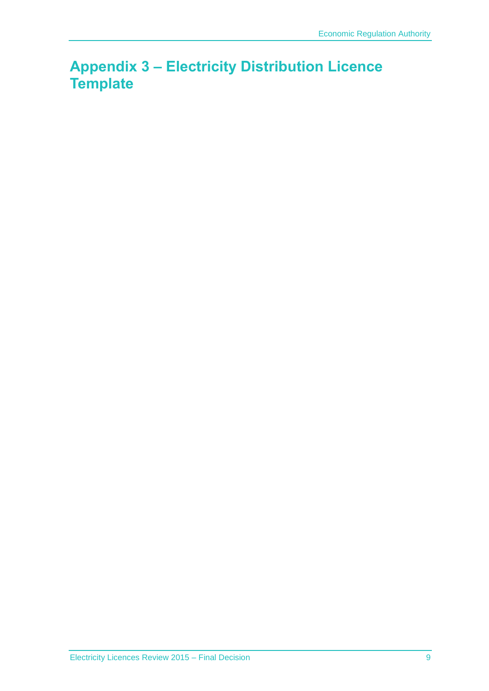### <span id="page-11-0"></span>**Appendix 3 – Electricity Distribution Licence Template**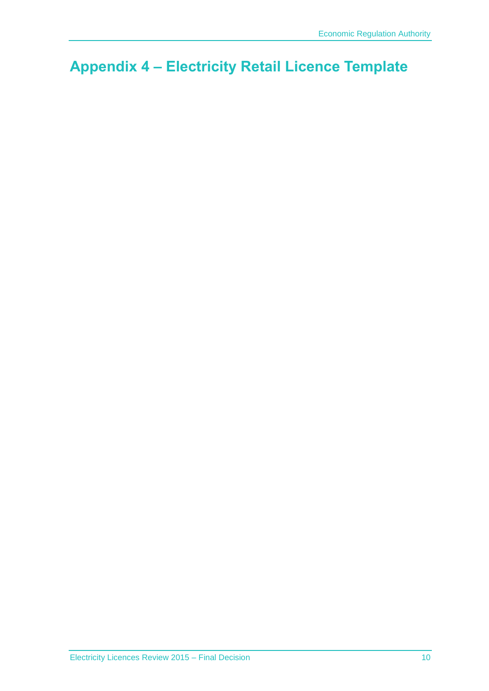## <span id="page-12-0"></span>**Appendix 4 – Electricity Retail Licence Template**